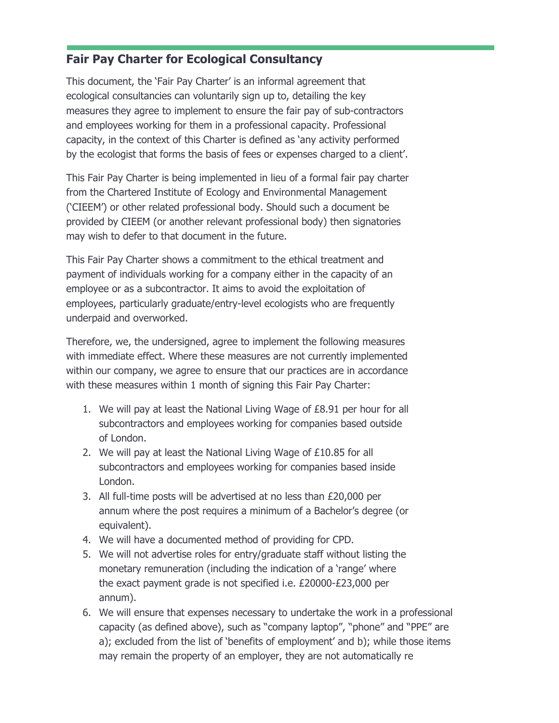## **Fair Pay Charter for Ecological Consultancy**

This document, the 'Fair Pay Charter' is an informal agreement that ecological consultancies can voluntarily sign up to, detailing the key measures they agree to implement to ensure the fair pay of sub-contractors and employees working for them in a professional capacity. Professional capacity, in the context of this Charter is defined as 'any activity performed by the ecologist that forms the basis of fees or expenses charged to a client'.

This Fair Pay Charter is being implemented in lieu of a formal fair pay charter from the Chartered Institute of Ecology and Environmental Management ('CIEEM') or other related professional body. Should such a document be provided by CIEEM (or another relevant professional body) then signatories may wish to defer to that document in the future.

This Fair Pay Charter shows a commitment to the ethical treatment and payment of individuals working for a company either in the capacity of an employee or as a subcontractor. It aims to avoid the exploitation of employees, particularly graduate/entry-level ecologists who are frequently underpaid and overworked.

Therefore, we, the undersigned, agree to implement the following measures with immediate effect. Where these measures are not currently implemented within our company, we agree to ensure that our practices are in accordance with these measures within 1 month of signing this Fair Pay Charter:

- 1. We will pay at least the National Living Wage of £8.91 per hour for all subcontractors and employees working for companies based outside of London.
- 2. We will pay at least the National Living Wage of £10.85 for all subcontractors and employees working for companies based inside London.
- 3. All full-time posts will be advertised at no less than £20,000 per annum where the post requires a minimum of a Bachelor's degree (or equivalent).
- 4. We will have a documented method of providing for CPD.
- 5. We will not advertise roles for entry/graduate staff without listing the monetary remuneration (including the indication of a 'range' where the exact payment grade is not specified i.e. £20000-£23,000 per annum).
- 6. We will ensure that expenses necessary to undertake the work in a professional capacity (as defined above), such as "company laptop", "phone" and "PPE" are a); excluded from the list of 'benefits of employment' and b); while those items may remain the property of an employer, they are not automatically re